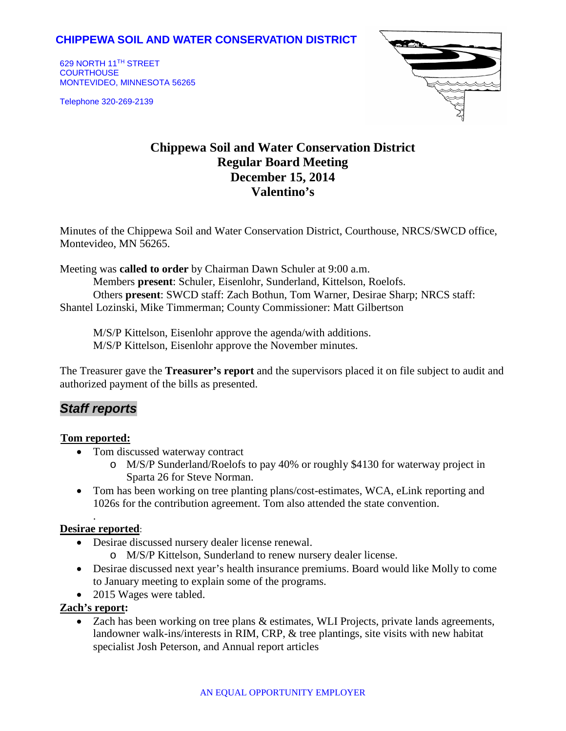## **CHIPPEWA SOIL AND WATER CONSERVATION DISTRICT**

629 NORTH 11TH STREET **COURTHOUSE** MONTEVIDEO, MINNESOTA 56265

Telephone 320-269-2139



# **Chippewa Soil and Water Conservation District Regular Board Meeting December 15, 2014 Valentino's**

Minutes of the Chippewa Soil and Water Conservation District, Courthouse, NRCS/SWCD office, Montevideo, MN 56265.

Meeting was **called to order** by Chairman Dawn Schuler at 9:00 a.m.

Members **present**: Schuler, Eisenlohr, Sunderland, Kittelson, Roelofs. Others **present**: SWCD staff: Zach Bothun, Tom Warner, Desirae Sharp; NRCS staff: Shantel Lozinski, Mike Timmerman; County Commissioner: Matt Gilbertson

M/S/P Kittelson, Eisenlohr approve the agenda/with additions. M/S/P Kittelson, Eisenlohr approve the November minutes.

The Treasurer gave the **Treasurer's report** and the supervisors placed it on file subject to audit and authorized payment of the bills as presented.

## *Staff reports*

#### <sup>U</sup>**Tom reported:**

- Tom discussed waterway contract
	- o M/S/P Sunderland/Roelofs to pay 40% or roughly \$4130 for waterway project in Sparta 26 for Steve Norman.
- Tom has been working on tree planting plans/cost-estimates, WCA, eLink reporting and 1026s for the contribution agreement. Tom also attended the state convention.

#### **Desirae reported**:

.

- Desirae discussed nursery dealer license renewal.
	- o M/S/P Kittelson, Sunderland to renew nursery dealer license.
- Desirae discussed next year's health insurance premiums. Board would like Molly to come to January meeting to explain some of the programs.
- 2015 Wages were tabled.

### **Zach's report:**

• Zach has been working on tree plans & estimates, WLI Projects, private lands agreements, landowner walk-ins/interests in RIM, CRP, & tree plantings, site visits with new habitat specialist Josh Peterson, and Annual report articles